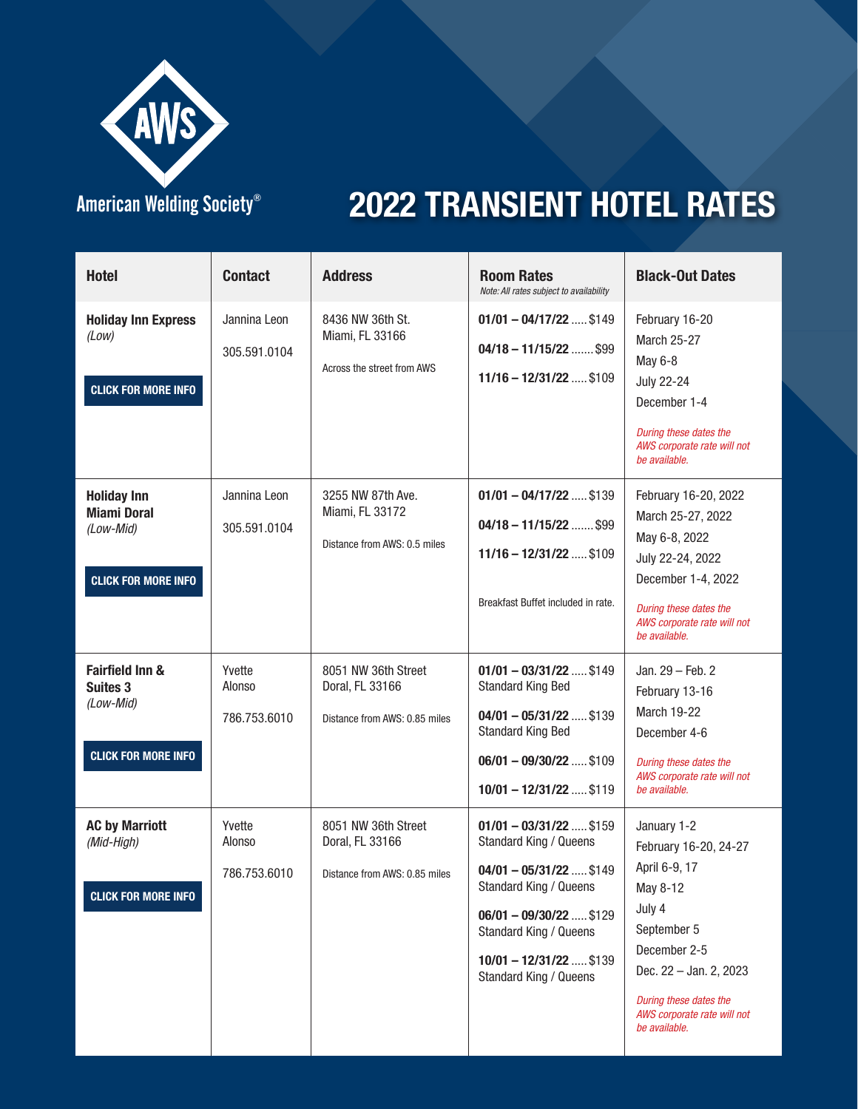

### American Welding Society®

| <b>Hotel</b>                                                                        | <b>Contact</b>                   | <b>Address</b>                                                          | <b>Room Rates</b><br>Note: All rates subject to availability                                                                                                                                                                | <b>Black-Out Dates</b>                                                                                                                                                                                         |
|-------------------------------------------------------------------------------------|----------------------------------|-------------------------------------------------------------------------|-----------------------------------------------------------------------------------------------------------------------------------------------------------------------------------------------------------------------------|----------------------------------------------------------------------------------------------------------------------------------------------------------------------------------------------------------------|
| <b>Holiday Inn Express</b><br>(Low)<br><b>CLICK FOR MORE INFO</b>                   | Jannina Leon<br>305.591.0104     | 8436 NW 36th St.<br>Miami, FL 33166<br>Across the street from AWS       | $01/01 - 04/17/22$ \$149<br>$04/18 - 11/15/22$ \$99<br>$11/16 - 12/31/22$ \$109                                                                                                                                             | February 16-20<br><b>March 25-27</b><br>May 6-8<br><b>July 22-24</b><br>December 1-4<br>During these dates the<br>AWS corporate rate will not<br>be available.                                                 |
| <b>Holiday Inn</b><br><b>Miami Doral</b><br>(Low-Mid)<br><b>CLICK FOR MORE INFO</b> | Jannina Leon<br>305.591.0104     | 3255 NW 87th Ave.<br>Miami, FL 33172<br>Distance from AWS: 0.5 miles    | $01/01 - 04/17/22$ \$139<br>$04/18 - 11/15/22$ \$99<br>$11/16 - 12/31/22$ \$109<br>Breakfast Buffet included in rate.                                                                                                       | February 16-20, 2022<br>March 25-27, 2022<br>May 6-8, 2022<br>July 22-24, 2022<br>December 1-4, 2022<br>During these dates the<br>AWS corporate rate will not<br>be available.                                 |
| <b>Fairfield Inn &amp;</b><br>Suites 3<br>(Low-Mid)<br><b>CLICK FOR MORE INFO</b>   | Yvette<br>Alonso<br>786.753.6010 | 8051 NW 36th Street<br>Doral, FL 33166<br>Distance from AWS: 0.85 miles | $01/01 - 03/31/22$ \$149<br><b>Standard King Bed</b><br>$04/01 - 05/31/22$ \$139<br><b>Standard King Bed</b><br>$06/01 - 09/30/22$ \$109<br>$10/01 - 12/31/22$ \$119                                                        | Jan. 29 - Feb. 2<br>February 13-16<br><b>March 19-22</b><br>December 4-6<br>During these dates the<br>AWS corporate rate will not<br>be available.                                                             |
| <b>AC by Marriott</b><br>(Mid-High)<br><b>CLICK FOR MORE INFO</b>                   | Yvette<br>Alonso<br>786.753.6010 | 8051 NW 36th Street<br>Doral, FL 33166<br>Distance from AWS: 0.85 miles | $01/01 - 03/31/22$ \$159<br>Standard King / Queens<br>$04/01 - 05/31/22$ \$149<br>Standard King / Queens<br>$06/01 - 09/30/22$ \$129<br><b>Standard King / Queens</b><br>$10/01 - 12/31/22$ \$139<br>Standard King / Queens | January 1-2<br>February 16-20, 24-27<br>April 6-9, 17<br>May 8-12<br>July 4<br>September 5<br>December 2-5<br>Dec. 22 - Jan. 2, 2023<br>During these dates the<br>AWS corporate rate will not<br>be available. |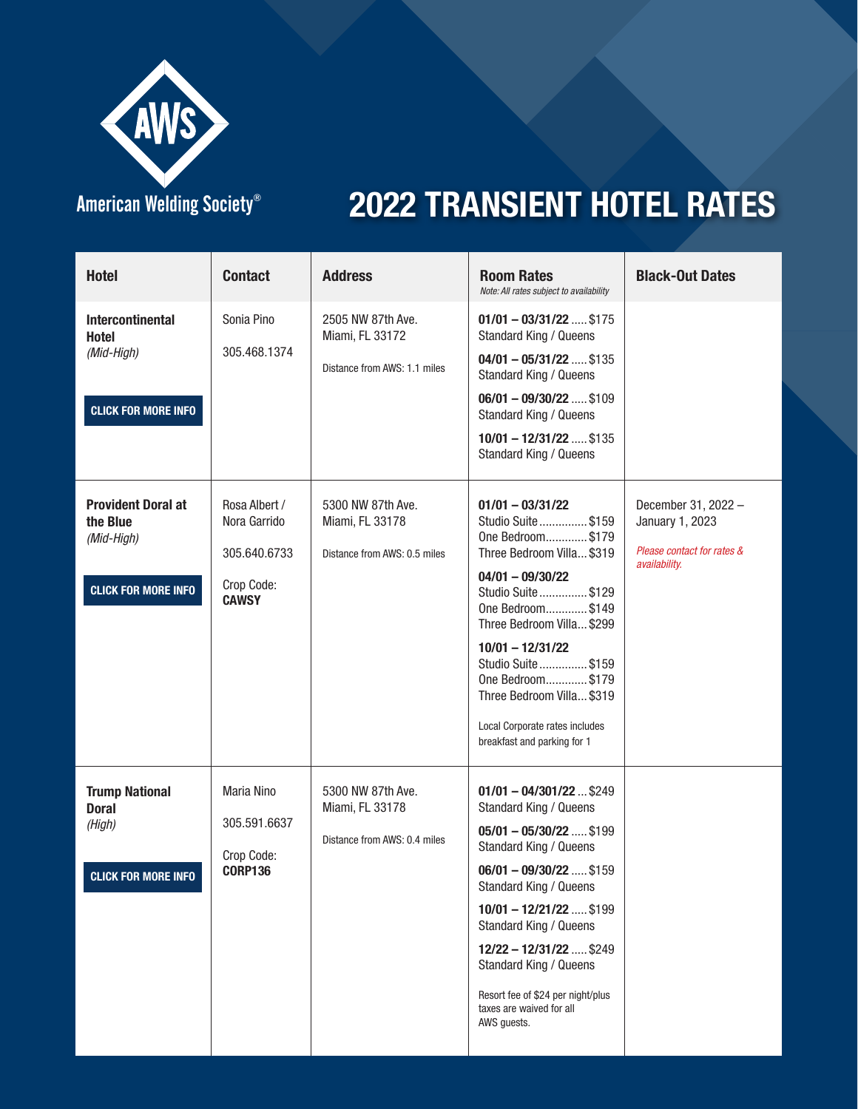

#### American Welding Society®

| <b>Hotel</b>                                                                        | <b>Contact</b>                                                              | <b>Address</b>                                                       | <b>Room Rates</b><br>Note: All rates subject to availability                                                                                                                                                                                                                                                                                               | <b>Black-Out Dates</b>                                                                |
|-------------------------------------------------------------------------------------|-----------------------------------------------------------------------------|----------------------------------------------------------------------|------------------------------------------------------------------------------------------------------------------------------------------------------------------------------------------------------------------------------------------------------------------------------------------------------------------------------------------------------------|---------------------------------------------------------------------------------------|
| <b>Intercontinental</b><br><b>Hotel</b><br>(Mid-High)<br><b>CLICK FOR MORE INFO</b> | Sonia Pino<br>305.468.1374                                                  | 2505 NW 87th Ave.<br>Miami, FL 33172<br>Distance from AWS: 1.1 miles | $01/01 - 03/31/22$ \$175<br><b>Standard King / Queens</b><br>$04/01 - 05/31/22$ \$135<br>Standard King / Queens<br>$06/01 - 09/30/22$ \$109<br>Standard King / Queens<br>$10/01 - 12/31/22$ \$135<br><b>Standard King / Queens</b>                                                                                                                         |                                                                                       |
| <b>Provident Doral at</b><br>the Blue<br>(Mid-High)<br><b>CLICK FOR MORE INFO</b>   | Rosa Albert /<br>Nora Garrido<br>305.640.6733<br>Crop Code:<br><b>CAWSY</b> | 5300 NW 87th Ave.<br>Miami, FL 33178<br>Distance from AWS: 0.5 miles | $01/01 - 03/31/22$<br>Studio Suite  \$159<br>One Bedroom \$179<br>Three Bedroom Villa \$319<br>$04/01 - 09/30/22$<br>Studio Suite  \$129<br>One Bedroom\$149<br>Three Bedroom Villa \$299<br>$10/01 - 12/31/22$<br>Studio Suite  \$159<br>One Bedroom\$179<br>Three Bedroom Villa \$319<br>Local Corporate rates includes<br>breakfast and parking for 1   | December 31, 2022 -<br>January 1, 2023<br>Please contact for rates &<br>availability. |
| <b>Trump National</b><br><b>Doral</b><br>(High)<br><b>CLICK FOR MORE INFO</b>       | Maria Nino<br>305.591.6637<br>Crop Code:<br><b>CORP136</b>                  | 5300 NW 87th Ave.<br>Miami, FL 33178<br>Distance from AWS: 0.4 miles | $01/01 - 04/301/22$ \$249<br>Standard King / Queens<br>$05/01 - 05/30/22$ \$199<br>Standard King / Queens<br>$06/01 - 09/30/22$ \$159<br>Standard King / Queens<br>$10/01 - 12/21/22$ \$199<br>Standard King / Queens<br>12/22 - 12/31/22  \$249<br>Standard King / Queens<br>Resort fee of \$24 per night/plus<br>taxes are waived for all<br>AWS guests. |                                                                                       |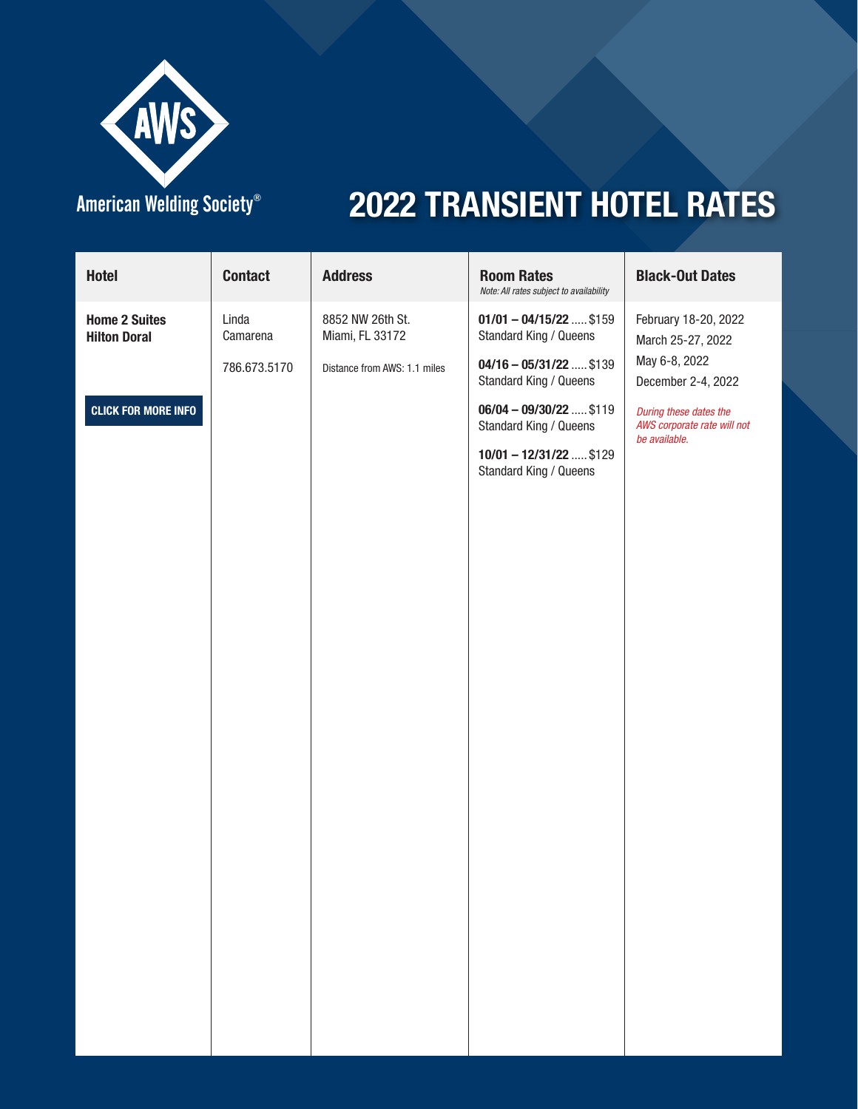

### American Welding Society®

| <b>Hotel</b>                                | <b>Contact</b>                    | <b>Address</b>                                                      | <b>Room Rates</b><br>Note: All rates subject to availability                                             | <b>Black-Out Dates</b>                                                           |
|---------------------------------------------|-----------------------------------|---------------------------------------------------------------------|----------------------------------------------------------------------------------------------------------|----------------------------------------------------------------------------------|
| <b>Home 2 Suites</b><br><b>Hilton Doral</b> | Linda<br>Camarena<br>786.673.5170 | 8852 NW 26th St.<br>Miami, FL 33172<br>Distance from AWS: 1.1 miles | $01/01 - 04/15/22$ \$159<br>Standard King / Queens<br>$04/16 - 05/31/22$ \$139<br>Standard King / Queens | February 18-20, 2022<br>March 25-27, 2022<br>May 6-8, 2022<br>December 2-4, 2022 |
| <b>CLICK FOR MORE INFO</b>                  |                                   |                                                                     | $06/04 - 09/30/22$ \$119<br>Standard King / Queens<br>$10/01 - 12/31/22$ \$129<br>Standard King / Queens | During these dates the<br>AWS corporate rate will not<br>be available.           |
|                                             |                                   |                                                                     |                                                                                                          |                                                                                  |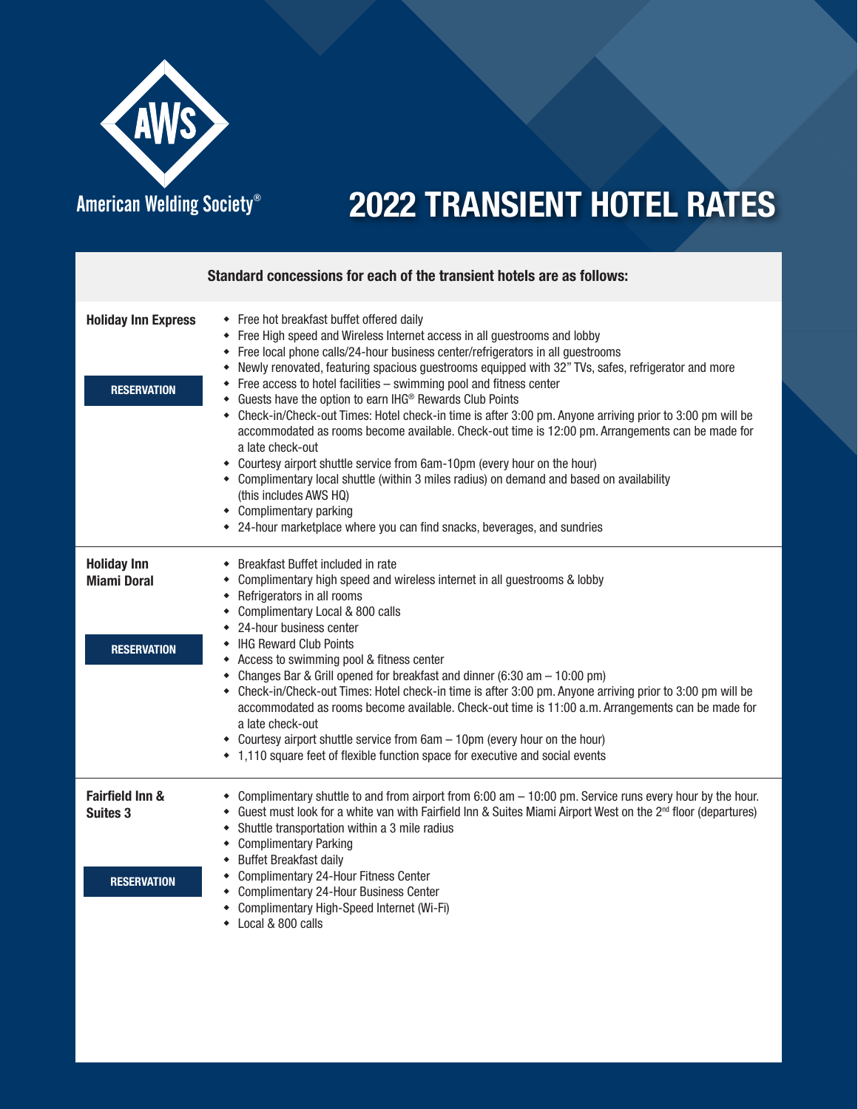

where we will be written  $\alpha$  where  $\alpha$ 

|                                                                     | Standard concessions for each of the transient hotels are as follows:                                                                                                                                                                                                                                                                                                                                                                                                                                                                                                                                                                                                                                                                                                                                                                                                                                                                                                                                   |
|---------------------------------------------------------------------|---------------------------------------------------------------------------------------------------------------------------------------------------------------------------------------------------------------------------------------------------------------------------------------------------------------------------------------------------------------------------------------------------------------------------------------------------------------------------------------------------------------------------------------------------------------------------------------------------------------------------------------------------------------------------------------------------------------------------------------------------------------------------------------------------------------------------------------------------------------------------------------------------------------------------------------------------------------------------------------------------------|
| <b>Holiday Inn Express</b><br><b>RESERVATION</b>                    | • Free hot breakfast buffet offered daily<br>• Free High speed and Wireless Internet access in all guestrooms and lobby<br>• Free local phone calls/24-hour business center/refrigerators in all guestrooms<br>Newly renovated, featuring spacious guestrooms equipped with 32" TVs, safes, refrigerator and more<br>• Free access to hotel facilities - swimming pool and fitness center<br>• Guests have the option to earn IHG® Rewards Club Points<br>• Check-in/Check-out Times: Hotel check-in time is after 3:00 pm. Anyone arriving prior to 3:00 pm will be<br>accommodated as rooms become available. Check-out time is 12:00 pm. Arrangements can be made for<br>a late check-out<br>• Courtesy airport shuttle service from 6am-10pm (every hour on the hour)<br>• Complimentary local shuttle (within 3 miles radius) on demand and based on availability<br>(this includes AWS HQ)<br>• Complimentary parking<br>• 24-hour marketplace where you can find snacks, beverages, and sundries |
| <b>Holiday Inn</b><br><b>Miami Doral</b><br><b>RESERVATION</b>      | • Breakfast Buffet included in rate<br>• Complimentary high speed and wireless internet in all guestrooms & lobby<br>• Refrigerators in all rooms<br>• Complimentary Local & 800 calls<br>• 24-hour business center<br>• IHG Reward Club Points<br>• Access to swimming pool & fitness center<br>• Changes Bar & Grill opened for breakfast and dinner (6:30 am - 10:00 pm)<br>• Check-in/Check-out Times: Hotel check-in time is after 3:00 pm. Anyone arriving prior to 3:00 pm will be<br>accommodated as rooms become available. Check-out time is 11:00 a.m. Arrangements can be made for<br>a late check-out<br>• Courtesy airport shuttle service from 6am - 10pm (every hour on the hour)<br>• 1,110 square feet of flexible function space for executive and social events                                                                                                                                                                                                                     |
| <b>Fairfield Inn &amp;</b><br><b>Suites 3</b><br><b>RESERVATION</b> | • Complimentary shuttle to and from airport from 6:00 am - 10:00 pm. Service runs every hour by the hour.<br>• Guest must look for a white van with Fairfield Inn & Suites Miami Airport West on the 2 <sup>nd</sup> floor (departures)<br>• Shuttle transportation within a 3 mile radius<br>• Complimentary Parking<br>• Buffet Breakfast daily<br>• Complimentary 24-Hour Fitness Center<br>• Complimentary 24-Hour Business Center<br>Complimentary High-Speed Internet (Wi-Fi)<br>• Local & 800 calls                                                                                                                                                                                                                                                                                                                                                                                                                                                                                              |